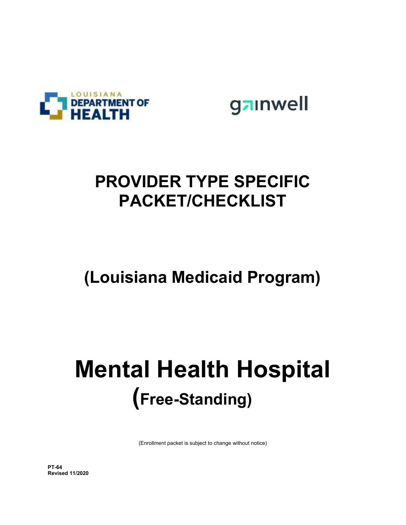

gainwell

## **PROVIDER TYPE SPECIFIC PACKET/CHECKLIST**

## **(Louisiana Medicaid Program)**

# **Mental Health Hospital (Free-Standing)**

(Enrollment packet is subject to change without notice)